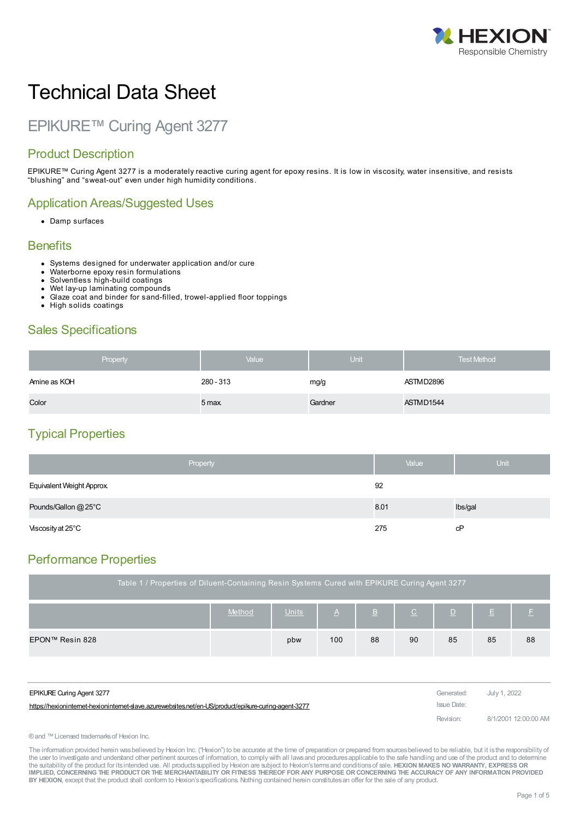

# Technical Data Sheet

# EPIKURE™ Curing Agent 3277

## Product Description

EPIKURE™ Curing Agent 3277 is a moderately reactive curing agent for epoxy resins. It is low in viscosity, water insensitive, and resists "blushing" and "sweat-out" even under high humidity conditions.

#### Application Areas/Suggested Uses

• Damp surfaces

#### **Benefits**

- Systems designed for underwater application and/or cure Waterborne epoxy resin formulations
- 
- 
- Wet lay-up laminating compounds  $\bullet$
- Glaze coat and binder for sand-filled, trowel-applied floor toppings
- High solids coatings

#### Sales Specifications

| Property     | Value     | <b>Unit</b> | <b>Test Method</b> |
|--------------|-----------|-------------|--------------------|
| Amine as KOH | 280 - 313 | mg/g        | ASTMD2896          |
| Color        | 5 max.    | Gardner     | ASTMD1544          |

## Typical Properties

|                           | Property | Value | Unit    |
|---------------------------|----------|-------|---------|
| Equivalent Weight Approx. |          | 92    |         |
| Pounds/Gallon @ 25°C      |          | 8.01  | lbs/gal |
| Viscosity at 25°C         |          | 275   | сP      |

## Performance Properties

| Table 1 / Properties of Diluent-Containing Resin Systems Cured with EPIKURE Curing Agent 3277 |                                                                                                             |     |     |    |    |    |    |    |  |
|-----------------------------------------------------------------------------------------------|-------------------------------------------------------------------------------------------------------------|-----|-----|----|----|----|----|----|--|
|                                                                                               | Method<br>Units<br>$\underline{\mathsf{B}}$<br>$\underline{\mathsf{C}}$<br>$\Delta$<br>Е.<br>$\overline{D}$ |     |     |    |    |    |    |    |  |
| EPON™ Resin 828                                                                               |                                                                                                             | pbw | 100 | 88 | 90 | 85 | 85 | 88 |  |
|                                                                                               |                                                                                                             |     |     |    |    |    |    |    |  |

| <b>EPIKURE Curing Agent 3277</b>                                                                    | Generated:  | July 1, 2022         |
|-----------------------------------------------------------------------------------------------------|-------------|----------------------|
| https://hexionintemet-hexionintemet-slave.azurewebsites.net/en-US/product/epikure-curing-agent-3277 | Issue Date: |                      |
|                                                                                                     | Revision:   | 8/1/2001 12:00:00 AM |

® and ™ Licensed trademarks of Hexion Inc.

The information provided herein was believed by Hexion Inc. ("Hexion") to be accurate at the time of preparation or prepared from sources believed to be reliable, but it is the responsibility of the user to investigate and understand other pertinent sources of information, to comply with all laws and procedures applicable to the safe handling and use of the product and to determine the suitability of the product for itsintended use. All productssupplied by Hexion are subject to Hexion'stermsand conditionsof sale. **HEXION MAKES NO WARRANTY, EXPRESS OR** IMPLIED, CONCERNING THE PRODUCT OR THE MERCHANTABILITY OR FITNESS THEREOF FOR ANY PURPOSE OR CONCERNING THE ACCURACY OF ANY INFORMATION PROVIDED **BY HEXION**, except that the product shall conform to Hexion'sspecifications. Nothing contained herein constitutesan offer for the sale of any product.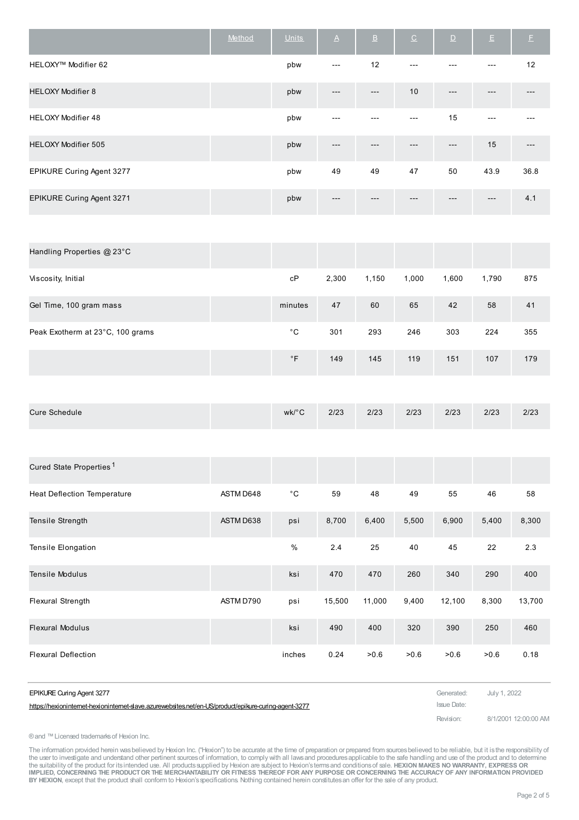|                            | Method | <b>Units</b> | $\underline{\mathsf{A}}$ | $\underline{\mathsf{B}}$ | $\underline{\texttt{C}}$ | $\overline{D}$ | $\mathsf{E}$ | E    |
|----------------------------|--------|--------------|--------------------------|--------------------------|--------------------------|----------------|--------------|------|
| HELOXY™ Modifier 62        |        | pbw          | $---$                    | 12                       | $---$                    |                | $---$        | 12   |
| <b>HELOXY Modifier 8</b>   |        | pbw          | $---$                    | $---$                    | 10                       | $---$          | $---$        |      |
| <b>HELOXY Modifier 48</b>  |        | pbw          | ---                      | ---                      | $---$                    | 15             | $---$        |      |
| <b>HELOXY Modifier 505</b> |        | pbw          | ---                      | ---                      | ---                      | $---$          | 15           |      |
| EPIKURE Curing Agent 3277  |        | pbw          | 49                       | 49                       | 47                       | 50             | 43.9         | 36.8 |
| EPIKURE Curing Agent 3271  |        | pbw          | ---                      | $---$                    | ---                      | ---            | $---$        | 4.1  |

| сP        | 2,300 | 1,150 | 1,000 | 1,600 | 1,790 | 875 |
|-----------|-------|-------|-------|-------|-------|-----|
| minutes   | 47    | 60    | 65    | 42    | 58    | 41  |
| °С        | 301   | 293   | 246   | 303   | 224   | 355 |
| $\circ$ F | 149   | 145   | 119   | 151   | 107   | 179 |
|           |       |       |       |       |       |     |

| <b>Cure Schedule</b> | wk/°C | 2/23 | 2/23 | 2/23 | 2/23 | 2/23 | 2/23 |
|----------------------|-------|------|------|------|------|------|------|
|----------------------|-------|------|------|------|------|------|------|

| Cured State Properties <sup>1</sup> |           |              |        |        |       |        |       |        |
|-------------------------------------|-----------|--------------|--------|--------|-------|--------|-------|--------|
| <b>Heat Deflection Temperature</b>  | ASTM D648 | $^{\circ}$ C | 59     | 48     | 49    | 55     | 46    | 58     |
| Tensile Strength                    | ASTM D638 | psi          | 8,700  | 6,400  | 5,500 | 6,900  | 5,400 | 8,300  |
| <b>Tensile Elongation</b>           |           | $\%$         | 2.4    | 25     | 40    | 45     | 22    | 2.3    |
| <b>Tensile Modulus</b>              |           | ksi          | 470    | 470    | 260   | 340    | 290   | 400    |
| Flexural Strength                   | ASTM D790 | psi          | 15,500 | 11,000 | 9,400 | 12,100 | 8,300 | 13,700 |
| <b>Flexural Modulus</b>             |           | ksi          | 490    | 400    | 320   | 390    | 250   | 460    |
| <b>Flexural Deflection</b>          |           | inches       | 0.24   | >0.6   | >0.6  | >0.6   | >0.6  | 0.18   |

| <b>EPIKURE Curing Agent 3277</b>                                                                      | Generated: July 1, 2022 |                      |
|-------------------------------------------------------------------------------------------------------|-------------------------|----------------------|
| https://hexioninternet-hexioninternet-slave.azurewebsites.net/en-US/product/epikure-curing-agent-3277 | Issue Date:             |                      |
|                                                                                                       | Revision:               | 8/1/2001 12:00:00 AM |

®and ™Licensed trademarksof Hexion Inc.

The information provided herein wasbelieved by Hexion Inc. ("Hexion") to be accurate at the time of preparation or prepared from sources believed to be reliable, but it is the responsibility of<br>the user to investigate and IMPLIED, CONCERNING THE PRODUCT OR THE MERCHANTABILITY OR FITNESS THEREOF FOR ANY PURPOSE OR CONCERNING THE ACCURACY OF ANY INFORMATION PROVIDED<br>BY HEXION, except that the product shall conform to Hexion's specifications.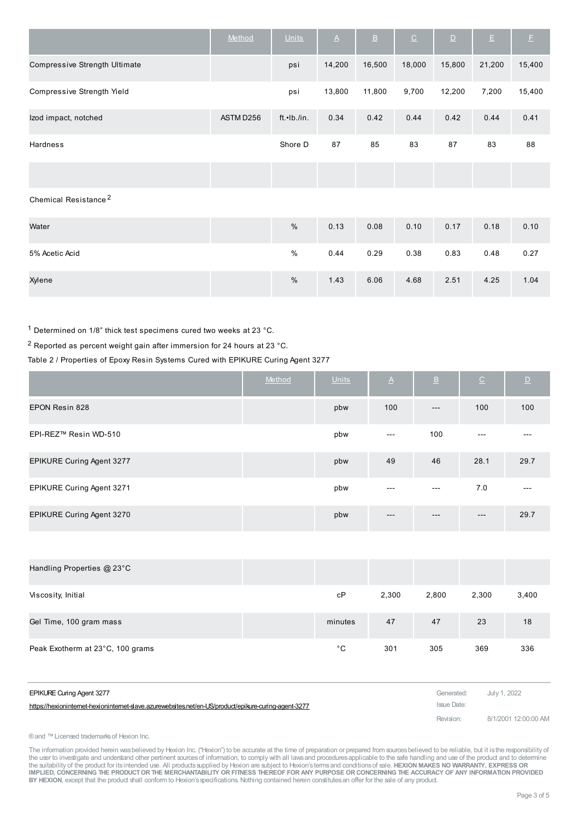|                                  | Method    | <b>Units</b> | $\Delta$ | $\underline{\mathsf{B}}$ | $\underline{\texttt{C}}$ | $\mathbf{D}$ | $\mathsf{E}% _{T}=\mathsf{E}_{T}\left( \mathsf{E}_{T_{0}}\right) ,$ | $\mathsf{E}$ |
|----------------------------------|-----------|--------------|----------|--------------------------|--------------------------|--------------|---------------------------------------------------------------------|--------------|
| Compressive Strength Ultimate    |           | psi          | 14,200   | 16,500                   | 18,000                   | 15,800       | 21,200                                                              | 15,400       |
| Compressive Strength Yield       |           | psi          | 13,800   | 11,800                   | 9,700                    | 12,200       | 7,200                                                               | 15,400       |
| Izod impact, notched             | ASTM D256 | ft.•Ib./in.  | 0.34     | 0.42                     | 0.44                     | 0.42         | 0.44                                                                | 0.41         |
| <b>Hardness</b>                  |           | Shore D      | 87       | 85                       | 83                       | 87           | 83                                                                  | 88           |
|                                  |           |              |          |                          |                          |              |                                                                     |              |
| Chemical Resistance <sup>2</sup> |           |              |          |                          |                          |              |                                                                     |              |
| Water                            |           | $\%$         | 0.13     | 0.08                     | 0.10                     | 0.17         | 0.18                                                                | 0.10         |
| 5% Acetic Acid                   |           | $\%$         | 0.44     | 0.29                     | 0.38                     | 0.83         | 0.48                                                                | 0.27         |
| Xylene                           |           | $\%$         | 1.43     | 6.06                     | 4.68                     | 2.51         | 4.25                                                                | 1.04         |

 $^1$  Determined on 1/8" thick test specimens cured two weeks at 23  $^{\circ}$ C.

2 Reported as percent weight gain after immersion for 24 hours at 23 °C.

Table 2 / Properties of Epoxy Resin Systems Cured with EPIKURE Curing Agent 3277

|                                  | Method | <b>Units</b> | $\Delta$            | $\underline{\mathsf{B}}$ | $\underline{\mathbb{C}}$ | $\overline{D}$ |
|----------------------------------|--------|--------------|---------------------|--------------------------|--------------------------|----------------|
| EPON Resin 828                   |        | pbw          | 100                 | $---$                    | 100                      | 100            |
| EPI-REZ™ Resin WD-510            |        | pbw          | $\qquad \qquad - -$ | 100                      | ---                      | ---            |
| <b>EPIKURE Curing Agent 3277</b> |        | pbw          | 49                  | 46                       | 28.1                     | 29.7           |
| EPIKURE Curing Agent 3271        |        | pbw          | $---$               | $---$                    | 7.0                      | $- - -$        |
| EPIKURE Curing Agent 3270        |        | pbw          | $---$               | $---$                    | $---$                    | 29.7           |

| Handling Properties @ 23°C       |         |       |       |       |       |
|----------------------------------|---------|-------|-------|-------|-------|
| Viscosity, Initial               | сP      | 2,300 | 2,800 | 2,300 | 3,400 |
| Gel Time, 100 gram mass          | minutes | 47    | 47    | 23    | 18    |
| Peak Exotherm at 23°C, 100 grams | °С      | 301   | 305   | 369   | 336   |

| <b>EPIKURE Curing Agent 3277</b>                                                                      | Generated: July 1, 2022 |                      |
|-------------------------------------------------------------------------------------------------------|-------------------------|----------------------|
| https://hexioninternet-hexioninternet-slave.azurewebsites.net/en-US/product/epikure-curing-agent-3277 | Issue Date:             |                      |
|                                                                                                       | Revision:               | 8/1/2001 12:00:00 AM |

® and ™ Licensed trademarks of Hexion Inc.

The information provided herein was believed by Hexion Inc. ("Hexion") to be accurate at the time of preparation or prepared from sources believed to be reliable, but it is the responsibility of the user to investigate and understand other pertinent sources of information, to comply with all laws and procedures applicable to the safe handling and use of the product and to determine<br>the suitability of the product f IMPLIED, CONCERNING THE PRODUCT OR THE MERCHANTABILITY OR FITNESS THEREOF FOR ANY PURPOSE OR CONCERNING THE ACCURACY OF ANY INFORMATION PROVIDED **BY HEXION**, except that the product shall conform to Hexion'sspecifications. Nothing contained herein constitutesan offer for the sale of any product.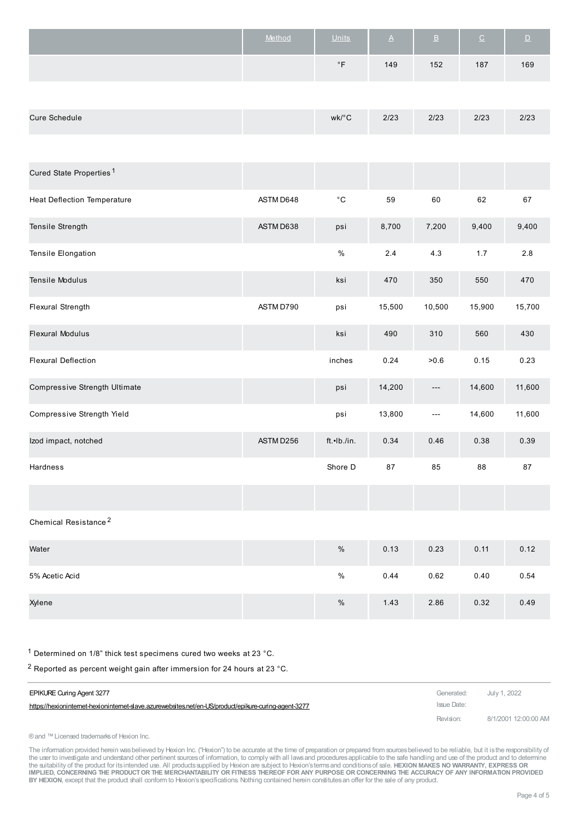| Method | <b>Units</b>   | A   | $\overline{B}$ | $\overline{C}$ | / D/ |
|--------|----------------|-----|----------------|----------------|------|
|        | $\circ$ $\Box$ | 149 | 152            | 187            | 169  |

| Cure Schedule | $wk/\circ C$ | 2/23 | 2/23 | 2/23 | 2/23 |
|---------------|--------------|------|------|------|------|
|---------------|--------------|------|------|------|------|

| Cured State Properties <sup>1</sup> |           |                     |        |                       |        |        |
|-------------------------------------|-----------|---------------------|--------|-----------------------|--------|--------|
| <b>Heat Deflection Temperature</b>  | ASTM D648 | $^{\circ} \text{C}$ | 59     | 60                    | 62     | 67     |
| Tensile Strength                    | ASTM D638 | psi                 | 8,700  | 7,200                 | 9,400  | 9,400  |
| Tensile Elongation                  |           | $\%$                | 2.4    | 4.3                   | 1.7    | 2.8    |
| Tensile Modulus                     |           | ksi                 | 470    | 350                   | 550    | 470    |
| Flexural Strength                   | ASTM D790 | psi                 | 15,500 | 10,500                | 15,900 | 15,700 |
| <b>Flexural Modulus</b>             |           | ksi                 | 490    | 310                   | 560    | 430    |
| <b>Flexural Deflection</b>          |           | inches              | 0.24   | >0.6                  | 0.15   | 0.23   |
| Compressive Strength Ultimate       |           | psi                 | 14,200 | $\scriptstyle \cdots$ | 14,600 | 11,600 |
| Compressive Strength Yield          |           | psi                 | 13,800 | $---$                 | 14,600 | 11,600 |
| Izod impact, notched                | ASTM D256 | ft.•Ib./in.         | 0.34   | 0.46                  | 0.38   | 0.39   |
| Hardness                            |           | Shore D             | 87     | 85                    | 88     | 87     |
|                                     |           |                     |        |                       |        |        |
| Chemical Resistance <sup>2</sup>    |           |                     |        |                       |        |        |
| Water                               |           | $\%$                | 0.13   | 0.23                  | 0.11   | 0.12   |
| 5% Acetic Acid                      |           | $\%$                | 0.44   | 0.62                  | 0.40   | 0.54   |

Xylene % 1.43 2.86 0.32 0.49

1 Determined on 1/8" thick test specimens cured two weeks at 23 °C.

 $2$  Reported as percent weight gain after immersion for 24 hours at 23 °C.

| <b>EPIKURE Curing Agent 3277</b>                                                                      | Generated:  | July 1, 2022         |
|-------------------------------------------------------------------------------------------------------|-------------|----------------------|
| https://hexioninternet-hexioninternet-slave.azurewebsites.net/en-US/product/epikure-curing-agent-3277 | Issue Date: |                      |
|                                                                                                       | Revision:   | 8/1/2001 12:00:00 AM |

® and ™ Licensed trademarks of Hexion Inc.

The information provided herein wasbelieved by Hexion Inc. ("Hexion") to be accurate at the time of preparation or prepared from sources believed to be reliable, but it is the responsibility of<br>the user to investigate and IMPLIED, CONCERNING THE PRODUCT OR THE MERCHANTABILITY OR FITNESS THEREOF FOR ANY PURPOSE OR CONCERNING THE ACCURACY OF ANY INFORMATION PROVIDED **BY HEXION**, except that the product shall conform to Hexion'sspecifications. Nothing contained herein constitutesan offer for the sale of any product.